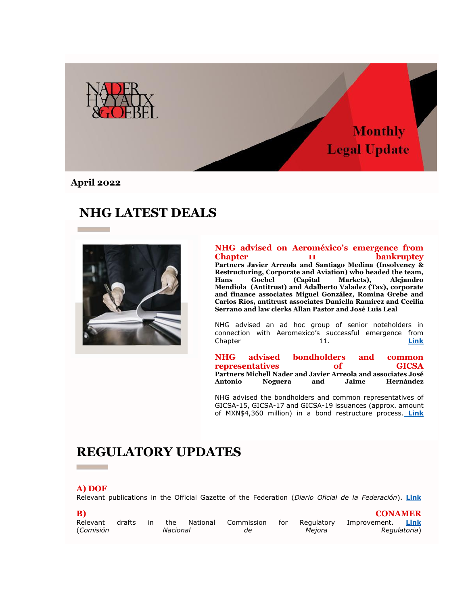

**April 2022**

# **NHG LATEST DEALS**



#### **NHG advised on Aeroméxico's emergence from Chapter** 11 **bankruptcy Partners Javier Arreola and Santiago Medina (Insolvency & Restructuring, Corporate and Aviation) who headed the team, Hans Goebel (Capital Markets), Alejandro Mendiola (Antitrust) and Adalberto Valadez (Tax), corporate and finance associates Miguel González, Romina Grebe and Carlos Ríos, antitrust associates Daniella Ramírez and Cecilia Serrano and law clerks Allan Pastor and José Luis Leal**

NHG advised an ad hoc group of senior noteholders in connection with Aeromexico's successful emergence from Chapter 11. **[Link](https://nhg335.lt.acemlnb.com/Prod/link-tracker?notrack=1&redirectUrl=aHR0cHMlM0ElMkYlMkZ3d3cubmhnLm14JTJGZW5fZ2IlMkZjYXNlJTJGbmhnLWFkdmlzZWQtb24tYWVyb21leGljby1leGl0cy1jaGFwdGVyLTExLWJhbmtydXB0Y3klMkY=&sig=2HzYfYeSMP7BkGN2AyZM5Y38FktA8GXGqd9W2x93PQ6n&iat=1654802663&a=%7C%7C25487300%7C%7C&account=nhg335%2Eactivehosted%2Ecom&email=sf%2FV9l4ieKNMOZdeVagRzQ%3D%3D&s=ccd1870a579f2011876aca44733daec7&i=173A245A6A1786)**

**NHG advised bondholders and common representatives of GICSA Partners Michell Nader and Javier Arreola and associates José Noguera** 

NHG advised the bondholders and common representatives of GICSA-15, GICSA-17 and GICSA-19 issuances (approx. amount of MXN\$4,360 million) in a bond restructure process. **[Link](https://nhg335.lt.acemlnb.com/Prod/link-tracker?notrack=1&redirectUrl=aHR0cHMlM0ElMkYlMkZ3d3cubmhnLm14JTJGZW5fZ2IlMkZjYXNlJTJGbmhnLWFkdmlzZWQtYm9uZGhvbGRlcnMtYW5kLWNvbW1vbi1yZXByZXNlbnRhdGl2ZXMtb2YtZ2ljc2ElMkY=&sig=6m17Kq9wRSzqpnkzR33MFXnjUfnjnpcChLo6ULtecL9X&iat=1654802663&a=%7C%7C25487300%7C%7C&account=nhg335%2Eactivehosted%2Ecom&email=sf%2FV9l4ieKNMOZdeVagRzQ%3D%3D&s=ccd1870a579f2011876aca44733daec7&i=173A245A6A1787)**

# **REGULATORY UPDATES**

### **A) DOF**

Relevant publications in the Official Gazette of the Federation (*Diario Oficial de la Federación*). **[Link](https://nhg335.lt.acemlnb.com/Prod/link-tracker?notrack=1&redirectUrl=aHR0cHMlM0ElMkYlMkZ3d3cubmhnLm14JTJGd3AtY29udGVudCUyRnVwbG9hZHMlMkYyMDIyJTJGMDQlMkZOSEctOTMyMTAtdjgtQWN0dWFsaXphY2lvbl9Ob3JtYXRpdmFfLV9NYXJ6b18yMDIyX0EucGRm&sig=HSCGjQH7CiaijeoKKgdUPGB3KTtqnZ9XRcF71qDAuRmc&iat=1654802663&a=%7C%7C25487300%7C%7C&account=nhg335%2Eactivehosted%2Ecom&email=sf%2FV9l4ieKNMOZdeVagRzQ%3D%3D&s=ccd1870a579f2011876aca44733daec7&i=173A245A6A1765)** 

| B)        |        |          |     |          |            |     |            | <b>CONAMER</b> |             |
|-----------|--------|----------|-----|----------|------------|-----|------------|----------------|-------------|
| Relevant  | drafts | in.      | the | National | Commission | for | Regulatory | Improvement.   | <b>Link</b> |
| (Comisión |        | Nacional |     |          | de         |     | Mejora     | Regulatoria)   |             |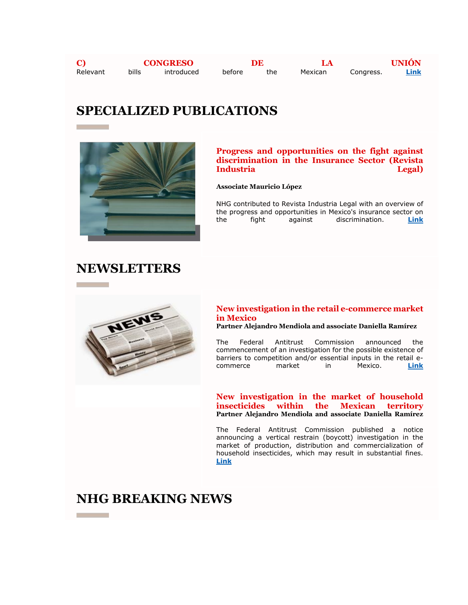**C) CONGRESO DE LA UNIÓN**  Relevant bills introduced before the Mexican Congress. **[Link](https://nhg335.lt.acemlnb.com/Prod/link-tracker?notrack=1&redirectUrl=aHR0cHMlM0ElMkYlMkZ3d3cubmhnLm14JTJGd3AtY29udGVudCUyRnVwbG9hZHMlMkYyMDIyJTJGMDQlMkZOSEctOTMyMTAtdjgtQWN0dWFsaXphY2lvbl9Ob3JtYXRpdmFfLV9NYXJ6b18yMDIyX0MucGRm&sig=Bp5fMxqJpUfkMmkWCe4R8N43CYAbiwmzMNNpmmR8GTb7&iat=1654802663&a=%7C%7C25487300%7C%7C&account=nhg335%2Eactivehosted%2Ecom&email=sf%2FV9l4ieKNMOZdeVagRzQ%3D%3D&s=ccd1870a579f2011876aca44733daec7&i=173A245A6A1767)**

# **SPECIALIZED PUBLICATIONS**



## **Progress and opportunities on the fight against discrimination in the Insurance Sector (Revista Industria Legal)**

### **Associate Mauricio López**

NHG contributed to Revista Industria Legal with an overview of the progress and opportunities in Mexico's insurance sector on the fight against discrimination. **[Link](https://nhg335.lt.acemlnb.com/Prod/link-tracker?notrack=1&redirectUrl=aHR0cHMlM0ElMkYlMkZ3d3cubmhnLm14JTJGd3AtY29udGVudCUyRnVwbG9hZHMlMkYyMDIyJTJGMDQlMkZJbmR1c3RyaWEtTGVnYWwtTXgtVm9sLi01LU1hcnpvLTIwMjIucGRm&sig=7VR26RbvnrGGuxJcAwLvdcEsC6pF1obE96ZXK27N56gA&iat=1654802663&a=%7C%7C25487300%7C%7C&account=nhg335%2Eactivehosted%2Ecom&email=sf%2FV9l4ieKNMOZdeVagRzQ%3D%3D&s=ccd1870a579f2011876aca44733daec7&i=173A245A6A1790)**

## **NEWSLETTERS**



## **New investigation in the retail e-commerce market in Mexico**

**Partner Alejandro Mendiola and associate Daniella Ramírez** 

The Federal Antitrust Commission announced the commencement of an investigation for the possible existence of barriers to competition and/or essential inputs in the retail ecommerce market in Mexico. **[Link](https://nhg335.lt.acemlnb.com/Prod/link-tracker?notrack=1&redirectUrl=aHR0cHMlM0ElMkYlMkZ3d3cubmhnLm14JTJGZW5fZ2IlMkZudWV2YS1pbnZlc3RpZ2FjaW9uLWVuLWVsLW1lcmNhZG8tZGUtY29tZXJjaW8tZWxlY3Ryb25pY28tbWlub3Jpc3RhLWVuLW1leGljbyUyRg==&sig=Cx4y9ytAuJxCNKPLvLdTdhonNTK6JDMHL4EdHhcaM6o2&iat=1654802663&a=%7C%7C25487300%7C%7C&account=nhg335%2Eactivehosted%2Ecom&email=sf%2FV9l4ieKNMOZdeVagRzQ%3D%3D&s=ccd1870a579f2011876aca44733daec7&i=173A245A6A1788)**

### **New investigation in the market of household insecticides within the Mexican territory Partner Alejandro Mendiola and associate Daniella Ramírez**

The Federal Antitrust Commission published a notice announcing a vertical restrain (boycott) investigation in the market of production, distribution and commercialization of household insecticides, which may result in substantial fines. **[Link](https://nhg335.lt.acemlnb.com/Prod/link-tracker?notrack=1&redirectUrl=aHR0cHMlM0ElMkYlMkZ3d3cubmhnLm14JTJGZW5fZ2IlMkZjb21wZXRlbmNpYS1lY29ub21pY2EtbnVldmEtaW52ZXN0aWdhY2lvbi1lbi1lbC1tZXJjYWRvLWRlLWluc2VjdGljaWRhcy1kb21lc3RpY29zLWVuLXRlcnJpdG9yaW8tbmFjaW9uYWwlMkY=&sig=8uoyG3iJM5amnLjx8kV7fPBayQSf1coQAZi3tZaFZNma&iat=1654802663&a=%7C%7C25487300%7C%7C&account=nhg335%2Eactivehosted%2Ecom&email=sf%2FV9l4ieKNMOZdeVagRzQ%3D%3D&s=ccd1870a579f2011876aca44733daec7&i=173A245A6A1789)**

# **NHG BREAKING NEWS**